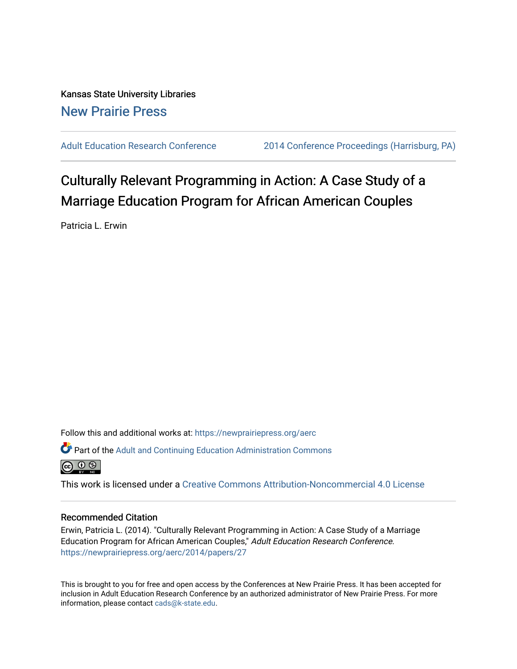Kansas State University Libraries [New Prairie Press](https://newprairiepress.org/) 

[Adult Education Research Conference](https://newprairiepress.org/aerc) [2014 Conference Proceedings \(Harrisburg, PA\)](https://newprairiepress.org/aerc/2014) 

# Culturally Relevant Programming in Action: A Case Study of a Marriage Education Program for African American Couples

Patricia L. Erwin

Follow this and additional works at: [https://newprairiepress.org/aerc](https://newprairiepress.org/aerc?utm_source=newprairiepress.org%2Faerc%2F2014%2Fpapers%2F27&utm_medium=PDF&utm_campaign=PDFCoverPages)

Part of the [Adult and Continuing Education Administration Commons](http://network.bepress.com/hgg/discipline/789?utm_source=newprairiepress.org%2Faerc%2F2014%2Fpapers%2F27&utm_medium=PDF&utm_campaign=PDFCoverPages)



This work is licensed under a [Creative Commons Attribution-Noncommercial 4.0 License](https://creativecommons.org/licenses/by-nc/4.0/)

# Recommended Citation

Erwin, Patricia L. (2014). "Culturally Relevant Programming in Action: A Case Study of a Marriage Education Program for African American Couples," Adult Education Research Conference. <https://newprairiepress.org/aerc/2014/papers/27>

This is brought to you for free and open access by the Conferences at New Prairie Press. It has been accepted for inclusion in Adult Education Research Conference by an authorized administrator of New Prairie Press. For more information, please contact [cads@k-state.edu](mailto:cads@k-state.edu).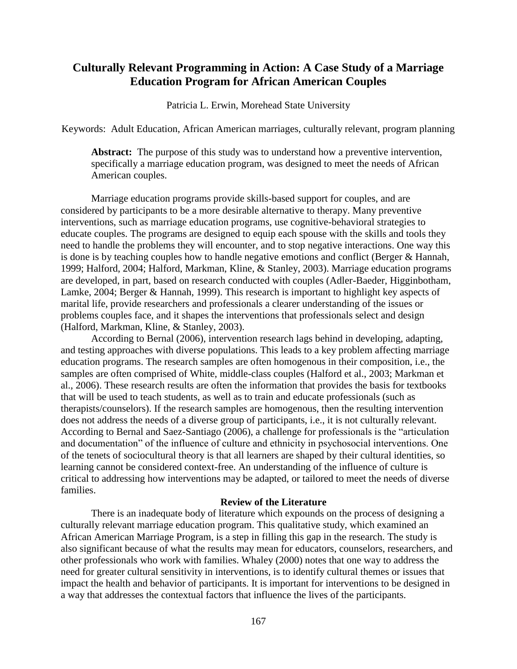# **Culturally Relevant Programming in Action: A Case Study of a Marriage Education Program for African American Couples**

Patricia L. Erwin, Morehead State University

Keywords: Adult Education, African American marriages, culturally relevant, program planning

**Abstract:** The purpose of this study was to understand how a preventive intervention, specifically a marriage education program, was designed to meet the needs of African American couples.

Marriage education programs provide skills-based support for couples, and are considered by participants to be a more desirable alternative to therapy. Many preventive interventions, such as marriage education programs, use cognitive-behavioral strategies to educate couples. The programs are designed to equip each spouse with the skills and tools they need to handle the problems they will encounter, and to stop negative interactions. One way this is done is by teaching couples how to handle negative emotions and conflict (Berger & Hannah, 1999; Halford, 2004; Halford, Markman, Kline, & Stanley, 2003). Marriage education programs are developed, in part, based on research conducted with couples (Adler-Baeder, Higginbotham, Lamke, 2004; Berger & Hannah, 1999). This research is important to highlight key aspects of marital life, provide researchers and professionals a clearer understanding of the issues or problems couples face, and it shapes the interventions that professionals select and design (Halford, Markman, Kline, & Stanley, 2003).

According to Bernal (2006), intervention research lags behind in developing, adapting, and testing approaches with diverse populations. This leads to a key problem affecting marriage education programs. The research samples are often homogenous in their composition, i.e., the samples are often comprised of White, middle-class couples (Halford et al., 2003; Markman et al., 2006). These research results are often the information that provides the basis for textbooks that will be used to teach students, as well as to train and educate professionals (such as therapists/counselors). If the research samples are homogenous, then the resulting intervention does not address the needs of a diverse group of participants, i.e., it is not culturally relevant. According to Bernal and Saez-Santiago (2006), a challenge for professionals is the "articulation and documentation" of the influence of culture and ethnicity in psychosocial interventions. One of the tenets of sociocultural theory is that all learners are shaped by their cultural identities, so learning cannot be considered context-free. An understanding of the influence of culture is critical to addressing how interventions may be adapted, or tailored to meet the needs of diverse families.

# **Review of the Literature**

There is an inadequate body of literature which expounds on the process of designing a culturally relevant marriage education program. This qualitative study, which examined an African American Marriage Program, is a step in filling this gap in the research. The study is also significant because of what the results may mean for educators, counselors, researchers, and other professionals who work with families. Whaley (2000) notes that one way to address the need for greater cultural sensitivity in interventions, is to identify cultural themes or issues that impact the health and behavior of participants. It is important for interventions to be designed in a way that addresses the contextual factors that influence the lives of the participants.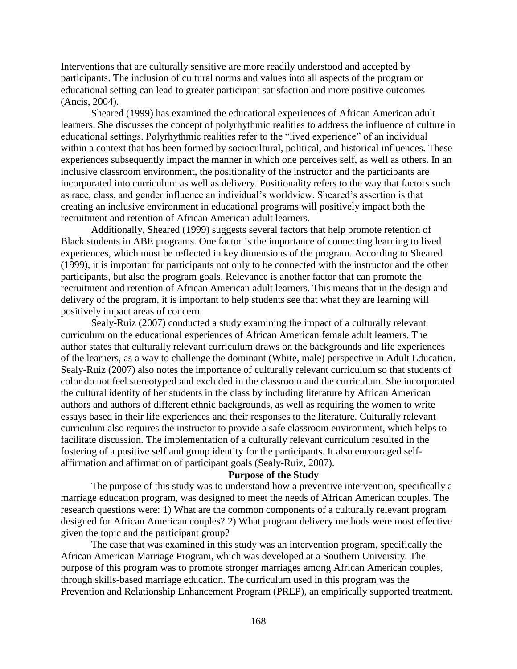Interventions that are culturally sensitive are more readily understood and accepted by participants. The inclusion of cultural norms and values into all aspects of the program or educational setting can lead to greater participant satisfaction and more positive outcomes (Ancis, 2004).

Sheared (1999) has examined the educational experiences of African American adult learners. She discusses the concept of polyrhythmic realities to address the influence of culture in educational settings. Polyrhythmic realities refer to the "lived experience" of an individual within a context that has been formed by sociocultural, political, and historical influences. These experiences subsequently impact the manner in which one perceives self, as well as others. In an inclusive classroom environment, the positionality of the instructor and the participants are incorporated into curriculum as well as delivery. Positionality refers to the way that factors such as race, class, and gender influence an individual's worldview. Sheared's assertion is that creating an inclusive environment in educational programs will positively impact both the recruitment and retention of African American adult learners.

Additionally, Sheared (1999) suggests several factors that help promote retention of Black students in ABE programs. One factor is the importance of connecting learning to lived experiences, which must be reflected in key dimensions of the program. According to Sheared (1999), it is important for participants not only to be connected with the instructor and the other participants, but also the program goals. Relevance is another factor that can promote the recruitment and retention of African American adult learners. This means that in the design and delivery of the program, it is important to help students see that what they are learning will positively impact areas of concern.

Sealy-Ruiz (2007) conducted a study examining the impact of a culturally relevant curriculum on the educational experiences of African American female adult learners. The author states that culturally relevant curriculum draws on the backgrounds and life experiences of the learners, as a way to challenge the dominant (White, male) perspective in Adult Education. Sealy-Ruiz (2007) also notes the importance of culturally relevant curriculum so that students of color do not feel stereotyped and excluded in the classroom and the curriculum. She incorporated the cultural identity of her students in the class by including literature by African American authors and authors of different ethnic backgrounds, as well as requiring the women to write essays based in their life experiences and their responses to the literature. Culturally relevant curriculum also requires the instructor to provide a safe classroom environment, which helps to facilitate discussion. The implementation of a culturally relevant curriculum resulted in the fostering of a positive self and group identity for the participants. It also encouraged selfaffirmation and affirmation of participant goals (Sealy-Ruiz, 2007).

## **Purpose of the Study**

The purpose of this study was to understand how a preventive intervention, specifically a marriage education program, was designed to meet the needs of African American couples. The research questions were: 1) What are the common components of a culturally relevant program designed for African American couples? 2) What program delivery methods were most effective given the topic and the participant group?

The case that was examined in this study was an intervention program, specifically the African American Marriage Program, which was developed at a Southern University. The purpose of this program was to promote stronger marriages among African American couples, through skills-based marriage education. The curriculum used in this program was the Prevention and Relationship Enhancement Program (PREP), an empirically supported treatment.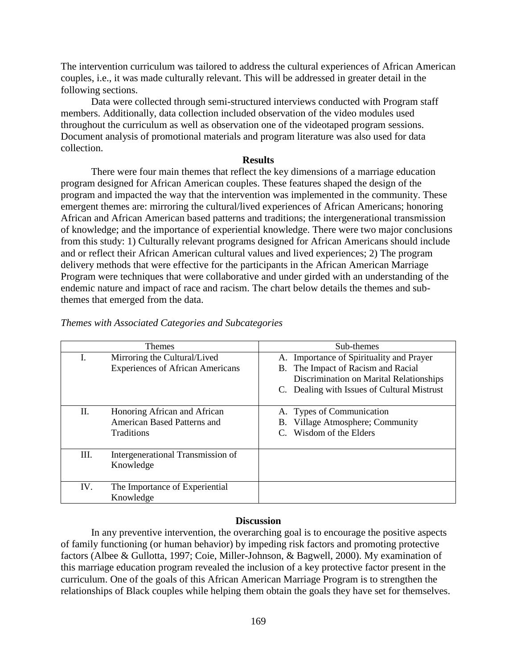The intervention curriculum was tailored to address the cultural experiences of African American couples, i.e., it was made culturally relevant. This will be addressed in greater detail in the following sections.

Data were collected through semi-structured interviews conducted with Program staff members. Additionally, data collection included observation of the video modules used throughout the curriculum as well as observation one of the videotaped program sessions. Document analysis of promotional materials and program literature was also used for data collection.

#### **Results**

There were four main themes that reflect the key dimensions of a marriage education program designed for African American couples. These features shaped the design of the program and impacted the way that the intervention was implemented in the community. These emergent themes are: mirroring the cultural/lived experiences of African Americans; honoring African and African American based patterns and traditions; the intergenerational transmission of knowledge; and the importance of experiential knowledge. There were two major conclusions from this study: 1) Culturally relevant programs designed for African Americans should include and or reflect their African American cultural values and lived experiences; 2) The program delivery methods that were effective for the participants in the African American Marriage Program were techniques that were collaborative and under girded with an understanding of the endemic nature and impact of race and racism. The chart below details the themes and subthemes that emerged from the data.

| <b>Themes</b> |                                                                                         | Sub-themes                                                                                  |
|---------------|-----------------------------------------------------------------------------------------|---------------------------------------------------------------------------------------------|
| L.            | Mirroring the Cultural/Lived<br><b>Experiences of African Americans</b>                 | A. Importance of Spirituality and Prayer<br>B. The Impact of Racism and Racial              |
|               |                                                                                         | Discrimination on Marital Relationships                                                     |
|               |                                                                                         | C. Dealing with Issues of Cultural Mistrust                                                 |
| П.            | Honoring African and African<br><b>American Based Patterns and</b><br><b>Traditions</b> | A. Types of Communication<br>Village Atmosphere; Community<br>В.<br>C. Wisdom of the Elders |
| Ш.            | Intergenerational Transmission of<br>Knowledge                                          |                                                                                             |
| IV.           | The Importance of Experiential<br>Knowledge                                             |                                                                                             |

# *Themes with Associated Categories and Subcategories*

### **Discussion**

In any preventive intervention, the overarching goal is to encourage the positive aspects of family functioning (or human behavior) by impeding risk factors and promoting protective factors (Albee & Gullotta, 1997; Coie, Miller-Johnson, & Bagwell, 2000). My examination of this marriage education program revealed the inclusion of a key protective factor present in the curriculum. One of the goals of this African American Marriage Program is to strengthen the relationships of Black couples while helping them obtain the goals they have set for themselves.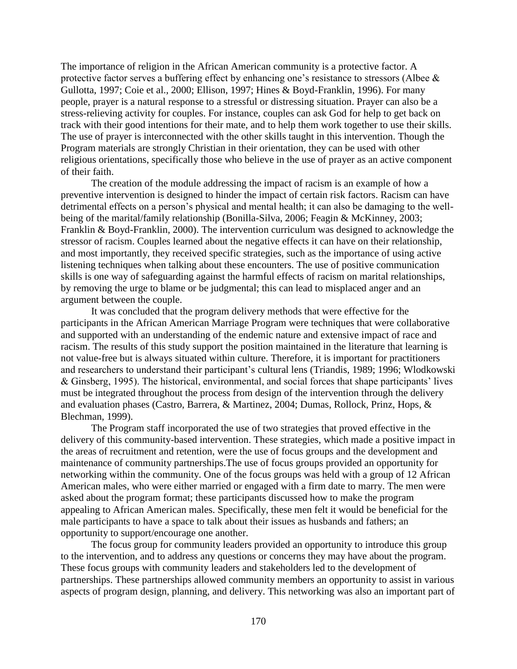The importance of religion in the African American community is a protective factor. A protective factor serves a buffering effect by enhancing one's resistance to stressors (Albee & Gullotta, 1997; Coie et al., 2000; Ellison, 1997; Hines & Boyd-Franklin, 1996). For many people, prayer is a natural response to a stressful or distressing situation. Prayer can also be a stress-relieving activity for couples. For instance, couples can ask God for help to get back on track with their good intentions for their mate, and to help them work together to use their skills. The use of prayer is interconnected with the other skills taught in this intervention. Though the Program materials are strongly Christian in their orientation, they can be used with other religious orientations, specifically those who believe in the use of prayer as an active component of their faith.

The creation of the module addressing the impact of racism is an example of how a preventive intervention is designed to hinder the impact of certain risk factors. Racism can have detrimental effects on a person's physical and mental health; it can also be damaging to the wellbeing of the marital/family relationship (Bonilla-Silva, 2006; Feagin & McKinney, 2003; Franklin & Boyd-Franklin, 2000). The intervention curriculum was designed to acknowledge the stressor of racism. Couples learned about the negative effects it can have on their relationship, and most importantly, they received specific strategies, such as the importance of using active listening techniques when talking about these encounters. The use of positive communication skills is one way of safeguarding against the harmful effects of racism on marital relationships, by removing the urge to blame or be judgmental; this can lead to misplaced anger and an argument between the couple.

It was concluded that the program delivery methods that were effective for the participants in the African American Marriage Program were techniques that were collaborative and supported with an understanding of the endemic nature and extensive impact of race and racism. The results of this study support the position maintained in the literature that learning is not value-free but is always situated within culture. Therefore, it is important for practitioners and researchers to understand their participant's cultural lens (Triandis, 1989; 1996; Wlodkowski & Ginsberg, 1995). The historical, environmental, and social forces that shape participants' lives must be integrated throughout the process from design of the intervention through the delivery and evaluation phases (Castro, Barrera, & Martinez, 2004; Dumas, Rollock, Prinz, Hops, & Blechman, 1999).

The Program staff incorporated the use of two strategies that proved effective in the delivery of this community-based intervention. These strategies, which made a positive impact in the areas of recruitment and retention, were the use of focus groups and the development and maintenance of community partnerships.The use of focus groups provided an opportunity for networking within the community. One of the focus groups was held with a group of 12 African American males, who were either married or engaged with a firm date to marry. The men were asked about the program format; these participants discussed how to make the program appealing to African American males. Specifically, these men felt it would be beneficial for the male participants to have a space to talk about their issues as husbands and fathers; an opportunity to support/encourage one another.

The focus group for community leaders provided an opportunity to introduce this group to the intervention, and to address any questions or concerns they may have about the program. These focus groups with community leaders and stakeholders led to the development of partnerships. These partnerships allowed community members an opportunity to assist in various aspects of program design, planning, and delivery. This networking was also an important part of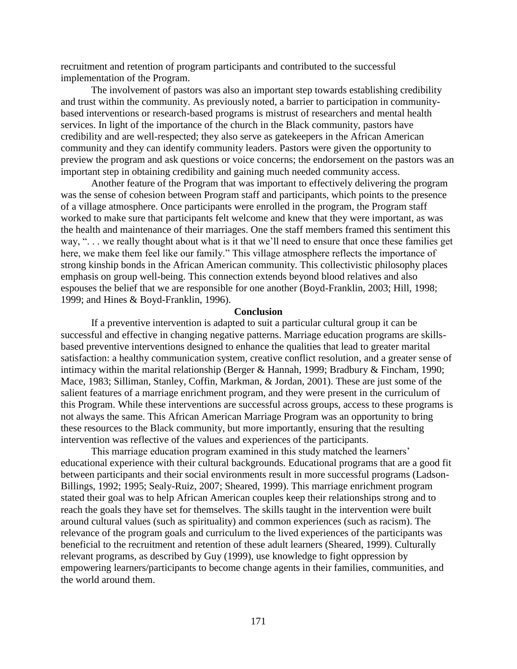recruitment and retention of program participants and contributed to the successful implementation of the Program.

The involvement of pastors was also an important step towards establishing credibility and trust within the community. As previously noted, a barrier to participation in communitybased interventions or research-based programs is mistrust of researchers and mental health services. In light of the importance of the church in the Black community, pastors have credibility and are well-respected; they also serve as gatekeepers in the African American community and they can identify community leaders. Pastors were given the opportunity to preview the program and ask questions or voice concerns; the endorsement on the pastors was an important step in obtaining credibility and gaining much needed community access.

Another feature of the Program that was important to effectively delivering the program was the sense of cohesion between Program staff and participants, which points to the presence of a village atmosphere. Once participants were enrolled in the program, the Program staff worked to make sure that participants felt welcome and knew that they were important, as was the health and maintenance of their marriages. One the staff members framed this sentiment this way, ". . . we really thought about what is it that we'll need to ensure that once these families get here, we make them feel like our family." This village atmosphere reflects the importance of strong kinship bonds in the African American community. This collectivistic philosophy places emphasis on group well-being. This connection extends beyond blood relatives and also espouses the belief that we are responsible for one another (Boyd-Franklin, 2003; Hill, 1998; 1999; and Hines & Boyd-Franklin, 1996).

#### **Conclusion**

If a preventive intervention is adapted to suit a particular cultural group it can be successful and effective in changing negative patterns. Marriage education programs are skillsbased preventive interventions designed to enhance the qualities that lead to greater marital satisfaction: a healthy communication system, creative conflict resolution, and a greater sense of intimacy within the marital relationship (Berger & Hannah, 1999; Bradbury & Fincham, 1990; Mace, 1983; Silliman, Stanley, Coffin, Markman, & Jordan, 2001). These are just some of the salient features of a marriage enrichment program, and they were present in the curriculum of this Program. While these interventions are successful across groups, access to these programs is not always the same. This African American Marriage Program was an opportunity to bring these resources to the Black community, but more importantly, ensuring that the resulting intervention was reflective of the values and experiences of the participants.

This marriage education program examined in this study matched the learners' educational experience with their cultural backgrounds. Educational programs that are a good fit between participants and their social environments result in more successful programs (Ladson-Billings, 1992; 1995; Sealy-Ruiz, 2007; Sheared, 1999). This marriage enrichment program stated their goal was to help African American couples keep their relationships strong and to reach the goals they have set for themselves. The skills taught in the intervention were built around cultural values (such as spirituality) and common experiences (such as racism). The relevance of the program goals and curriculum to the lived experiences of the participants was beneficial to the recruitment and retention of these adult learners (Sheared, 1999). Culturally relevant programs, as described by Guy (1999), use knowledge to fight oppression by empowering learners/participants to become change agents in their families, communities, and the world around them.